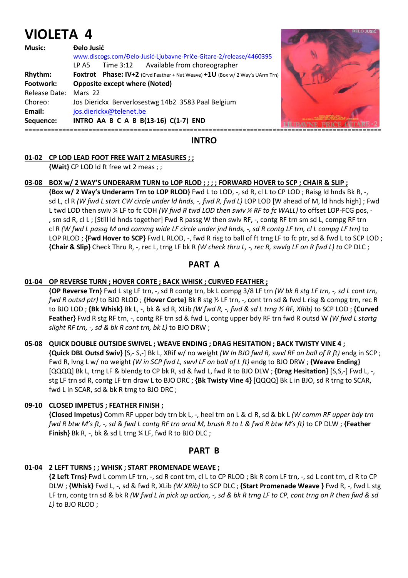# **VIOLETA 4**

| <b>Music:</b> | <b>Delo Jusić</b>                                                            |  |
|---------------|------------------------------------------------------------------------------|--|
|               | www.discogs.com/Đelo-Jusić-Ljubavne-Priče-Gitare-2/release/4460395           |  |
|               | Available from choreographer<br>Time 3:12<br>LP A5                           |  |
| Rhythm:       | Foxtrot Phase: IV+2 (Crvd Feather + Nat Weave) +1U (Box w/ 2 Way's UArm Trn) |  |
| Footwork:     | <b>Opposite except where (Noted)</b>                                         |  |
| Release Date: | Mars 22                                                                      |  |
| Choreo:       | Jos Dierickx Berverlosestwg 14b2 3583 Paal Belgium                           |  |
| Email:        | jos.dierickx@telenet.be                                                      |  |
| Sequence:     | INTRO AA B C A B B(13-16) C(1-7) END                                         |  |
|               |                                                                              |  |



**INTRO** 

# **01-02 CP LOD LEAD FOOT FREE WAIT 2 MEASURES ; ;**

 **{Wait}** CP LOD ld ft free wt 2 meas ; ;

# **03-08 BOX w/ 2 WAY'S UNDERARM TURN to LOP RLOD ; ; ; ; FORWARD HOVER to SCP ; CHAIR & SLIP ;**

 **{Box w/ 2 Way's Underarm Trn to LOP RLOD}** Fwd L to LOD, -, sd R, cl L to CP LOD ; Raisg ld hnds Bk R, -, sd L, cl R *(W fwd L start CW circle under ld hnds, -, fwd R, fwd L)* LOP LOD [W ahead of M, ld hnds high] ; Fwd L twd LOD then swiv ¼ LF to fc COH *(W fwd R twd LOD then swiv ¼ RF to fc WALL)* to offset LOP-FCG pos, - , sm sd R, cl L ; [Still ld hnds together] Fwd R passg W then swiv RF, -, contg RF trn sm sd L, compg RF trn cl R *(W fwd L passg M and commg wide LF circle under jnd hnds, -, sd R contg LF trn, cl L compg LF trn)* to LOP RLOD ; **{Fwd Hover to SCP}** Fwd L RLOD, -, fwd R risg to ball of ft trng LF to fc ptr, sd & fwd L to SCP LOD ;  **{Chair & Slip}** Check Thru R, -, rec L, trng LF bk R *(W check thru L, -, rec R, swvlg LF on R fwd L) to* CP DLC ;

# **PART A**

# **01-04 OP REVERSE TURN ; HOVER CORTE ; BACK WHISK ; CURVED FEATHER ;**

 **{OP Reverse Trn}** Fwd L stg LF trn, -, sd R contg trn, bk L compg 3/8 LF trn *(W bk R stg LF trn, -, sd L cont trn, fwd R outsd ptr)* to BJO RLOD ; **{Hover Corte}** Bk R stg ½ LF trn, -, cont trn sd & fwd L risg & compg trn, rec R to BJO LOD ; **{Bk Whisk}** Bk L, -, bk & sd R, XLib *(W fwd R, -, fwd & sd L trng ½ RF, XRib)* to SCP LOD ; **{Curved Feather}** Fwd R stg RF trn, -, contg RF trn sd & fwd L, contg upper bdy RF trn fwd R outsd W *(W fwd L startg slight RF trn, -, sd & bk R cont trn, bk L)* to BJO DRW ;

# **05-08 QUICK DOUBLE OUTSIDE SWIVEL ; WEAVE ENDING ; DRAG HESITATION ; BACK TWISTY VINE 4 ;**

 **{Quick DBL Outsd Swiv}** [S,- S,-] Bk L, XRif w/ no weight *(W In BJO fwd R, swvl RF on ball of R ft)* endg in SCP ; Fwd R, lvng L w/ no weight *(W in SCP fwd L, swvl LF on ball of L ft)* endg to BJO DRW ; **{Weave Ending}** [QQQQ] Bk L, trng LF & blendg to CP bk R, sd & fwd L, fwd R to BJO DLW ; **{Drag Hesitation}** [S,S,-] Fwd L, -, stg LF trn sd R, contg LF trn draw L to BJO DRC ; **{Bk Twisty Vine 4}** [QQQQ] Bk L in BJO, sd R trng to SCAR, fwd L in SCAR, sd & bk R trng to BJO DRC ;

# **09-10 CLOSED IMPETUS ; FEATHER FINISH ;**

 **{Closed Impetus}** Comm RF upper bdy trn bk L, -, heel trn on L & cl R, sd & bk L *(W comm RF upper bdy trn fwd R btw M's ft, -, sd & fwd L contg RF trn arnd M, brush R to L & fwd R btw M's ft)* to CP DLW ; **{Feather Finish}** Bk R, -, bk & sd L trng ¼ LF, fwd R to BJO DLC ;

# **PART B**

# **01-04 2 LEFT TURNS ; ; WHISK ; START PROMENADE WEAVE ;**

 **{2 Left Trns}** Fwd L comm LF trn, -, sd R cont trn, cl L to CP RLOD ; Bk R com LF trn, -, sd L cont trn, cl R to CP DLW ; **{Whisk}** Fwd L, -, sd & fwd R, XLib *(W XRib)* to SCP DLC ; **{Start Promenade Weave }** Fwd R, -, fwd L stg LF trn, contg trn sd & bk R *(W fwd L in pick up action, -, sd & bk R trng LF to CP, cont trng on R then fwd & sd L)* to BJO RLOD ;